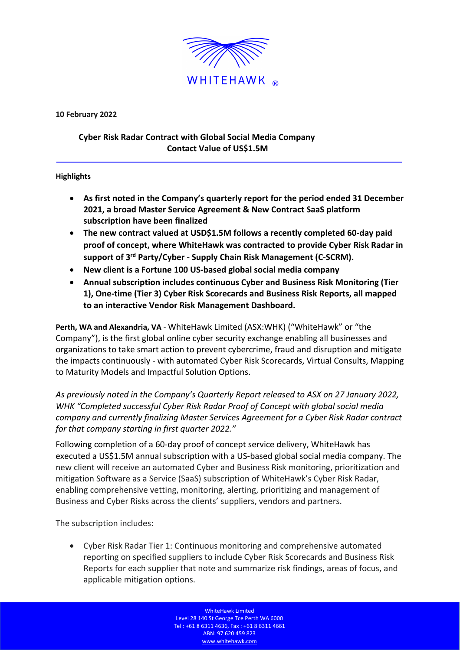

**10 February 2022**

## **Cyber Risk Radar Contract with Global Social Media Company Contact Value of US\$1.5M**

## **Highlights**

- **As first noted in the Company's quarterly report for the period ended 31 December 2021, a broad Master Service Agreement & New Contract SaaS platform subscription have been finalized**
- **The new contract valued at USD\$1.5M follows a recently completed 60-day paid proof of concept, where WhiteHawk was contracted to provide Cyber Risk Radar in support of 3rd Party/Cyber - Supply Chain Risk Management (C-SCRM).**
- **New client is a Fortune 100 US-based global social media company**
- **Annual subscription includes continuous Cyber and Business Risk Monitoring (Tier 1), One-time (Tier 3) Cyber Risk Scorecards and Business Risk Reports, all mapped to an interactive Vendor Risk Management Dashboard.**

**Perth, WA and Alexandria, VA** - WhiteHawk Limited (ASX:WHK) ("WhiteHawk" or "the Company"), is the first global online cyber security exchange enabling all businesses and organizations to take smart action to prevent cybercrime, fraud and disruption and mitigate the impacts continuously - with automated Cyber Risk Scorecards, Virtual Consults, Mapping to Maturity Models and Impactful Solution Options.

*As previously noted in the Company's Quarterly Report released to ASX on 27 January 2022, WHK "Completed successful Cyber Risk Radar Proof of Concept with global social media company and currently finalizing Master Services Agreement for a Cyber Risk Radar contract for that company starting in first quarter 2022."*

Following completion of a 60-day proof of concept service delivery, WhiteHawk has executed a US\$1.5M annual subscription with a US-based global social media company. The new client will receive an automated Cyber and Business Risk monitoring, prioritization and mitigation Software as a Service (SaaS) subscription of WhiteHawk's Cyber Risk Radar, enabling comprehensive vetting, monitoring, alerting, prioritizing and management of Business and Cyber Risks across the clients' suppliers, vendors and partners.

The subscription includes:

• Cyber Risk Radar Tier 1: Continuous monitoring and comprehensive automated reporting on specified suppliers to include Cyber Risk Scorecards and Business Risk Reports for each supplier that note and summarize risk findings, areas of focus, and applicable mitigation options.

> WhiteHawk Limited Level 28 140 St George Tce Perth WA 6000 Tel : +61 8 6311 4636, Fax : +61 8 6311 4661 ABN: 97 620 459 823 www.whitehawk.com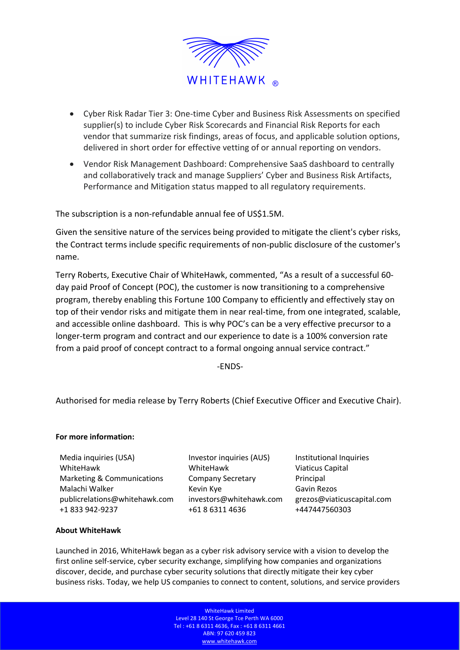

- Cyber Risk Radar Tier 3: One-time Cyber and Business Risk Assessments on specified supplier(s) to include Cyber Risk Scorecards and Financial Risk Reports for each vendor that summarize risk findings, areas of focus, and applicable solution options, delivered in short order for effective vetting of or annual reporting on vendors.
- Vendor Risk Management Dashboard: Comprehensive SaaS dashboard to centrally and collaboratively track and manage Suppliers' Cyber and Business Risk Artifacts, Performance and Mitigation status mapped to all regulatory requirements.

The subscription is a non-refundable annual fee of US\$1.5M.

Given the sensitive nature of the services being provided to mitigate the client's cyber risks, the Contract terms include specific requirements of non-public disclosure of the customer's name.

Terry Roberts, Executive Chair of WhiteHawk, commented, "As a result of a successful 60 day paid Proof of Concept (POC), the customer is now transitioning to a comprehensive program, thereby enabling this Fortune 100 Company to efficiently and effectively stay on top of their vendor risks and mitigate them in near real-time, from one integrated, scalable, and accessible online dashboard. This is why POC's can be a very effective precursor to a longer-term program and contract and our experience to date is a 100% conversion rate from a paid proof of concept contract to a formal ongoing annual service contract."

-ENDS-

Authorised for media release by Terry Roberts (Chief Executive Officer and Executive Chair).

## **For more information:**

Media inquiries (USA) WhiteHawk Marketing & Communications Malachi Walker Kevin Kye Gavin Rezos publicrelations@whitehawk.com investors@whitehawk.com grezos@viaticuscapital.com +1 833 942-9237 +61 8 6311 4636 +447447560303

Investor inquiries (AUS) WhiteHawk Company Secretary

Institutional Inquiries Viaticus Capital Principal

## **About WhiteHawk**

Launched in 2016, WhiteHawk began as a cyber risk advisory service with a vision to develop the first online self-service, cyber security exchange, simplifying how companies and organizations discover, decide, and purchase cyber security solutions that directly mitigate their key cyber business risks. Today, we help US companies to connect to content, solutions, and service providers

> WhiteHawk Limited Level 28 140 St George Tce Perth WA 6000 Tel : +61 8 6311 4636, Fax : +61 8 6311 4661 ABN: 97 620 459 823 www.whitehawk.com